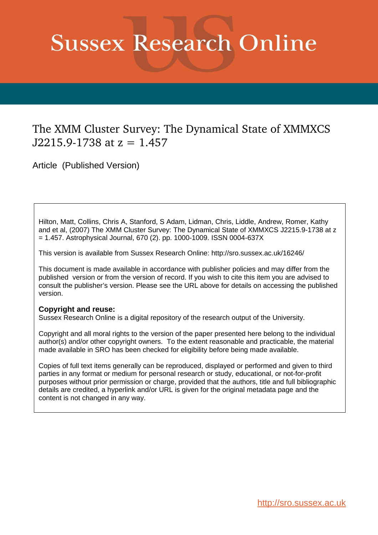# **Sussex Research Online**

## The XMM Cluster Survey: The Dynamical State of XMMXCS  $J2215.9 - 1738$  at  $z = 1.457$

Article (Published Version)

Hilton, Matt, Collins, Chris A, Stanford, S Adam, Lidman, Chris, Liddle, Andrew, Romer, Kathy and et al, (2007) The XMM Cluster Survey: The Dynamical State of XMMXCS J2215.9-1738 at z = 1.457. Astrophysical Journal, 670 (2). pp. 1000-1009. ISSN 0004-637X

This version is available from Sussex Research Online: http://sro.sussex.ac.uk/16246/

This document is made available in accordance with publisher policies and may differ from the published version or from the version of record. If you wish to cite this item you are advised to consult the publisher's version. Please see the URL above for details on accessing the published version.

### **Copyright and reuse:**

Sussex Research Online is a digital repository of the research output of the University.

Copyright and all moral rights to the version of the paper presented here belong to the individual author(s) and/or other copyright owners. To the extent reasonable and practicable, the material made available in SRO has been checked for eligibility before being made available.

Copies of full text items generally can be reproduced, displayed or performed and given to third parties in any format or medium for personal research or study, educational, or not-for-profit purposes without prior permission or charge, provided that the authors, title and full bibliographic details are credited, a hyperlink and/or URL is given for the original metadata page and the content is not changed in any way.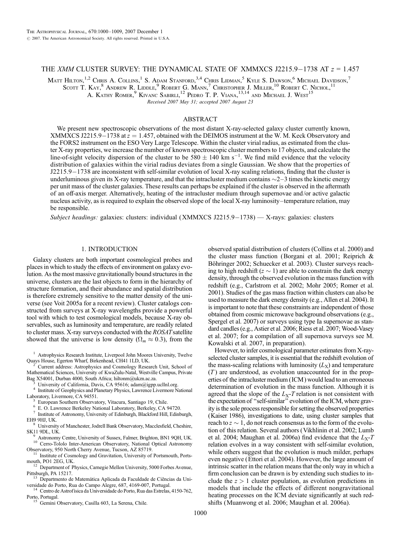#### THE XMM CLUSTER SURVEY: THE DYNAMICAL STATE OF XMMXCS J2215.9-1738 AT  $z = 1.457$

Matt Hilton, $^{1,2}$  Chris A. Collins, $^1$  S. Adam Stanford, $^{3,4}$  Chris Lidman, $^5$  Kyle S. Dawson, $^6$  Michael Davidson, $^7$ Scott T. Kay,  $8$  Andrew R. Liddle,  $9$  Robert G. Mann,  $7$  Christopher J. Miller,  $^{10}$  Robert C. Nichol,  $^{11}$ 

A. KATHY ROMER,  $^9$  Kivanc Sabirli,  $^{12}$  Pedro T. P. Viana,  $^{13,14}$  and Michael J. West<sup>15</sup>

Received 2007 May 31; accepted 2007 August 23

#### ABSTRACT

We present new spectroscopic observations of the most distant X-ray-selected galaxy cluster currently known, XMMXCS J2215.9-1738 at  $z = 1.457$ , obtained with the DEIMOS instrument at the W. M. Keck Observatory and the FORS2 instrument on the ESO Very Large Telescope. Within the cluster virial radius, as estimated from the cluster X-ray properties, we increase the number of known spectroscopic cluster members to 17 objects, and calculate the line-of-sight velocity dispersion of the cluster to be  $580 \pm 140$  km s<sup>-1</sup>. We find mild evidence that the velocity distribution of galaxies within the virial radius deviates from a single Gaussian. We show that the properties of J2215.9-1738 are inconsistent with self-similar evolution of local X-ray scaling relations, finding that the cluster is underluminous given its X-ray temperature, and that the intracluster medium contains  $\sim$ 2 $-3$  times the kinetic energy per unit mass of the cluster galaxies. These results can perhaps be explained if the cluster is observed in the aftermath of an off-axis merger. Alternatively, heating of the intracluster medium through supernovae and/or active galactic nucleus activity, as is required to explain the observed slope of the local X-ray luminosity-temperature relation, may be responsible.

Subject headings: galaxies: clusters: individual (XMMXCS J2215.9-1738) — X-rays: galaxies: clusters

#### 1. INTRODUCTION

Galaxy clusters are both important cosmological probes and places in which to study the effects of environment on galaxy evolution. As the most massive gravitationally bound structures in the universe, clusters are the last objects to form in the hierarchy of structure formation, and their abundance and spatial distribution is therefore extremely sensitive to the matter density of the universe (see Voit 2005a for a recent review). Cluster catalogs constructed from surveys at X-ray wavelengths provide a powerful tool with which to test cosmological models, because X-ray observables, such as luminosity and temperature, are readily related to cluster mass. X-ray surveys conducted with the ROSATsatellite showed that the universe is low density ( $\Omega_m \approx 0.3$ ), from the

<sup>1</sup> Astrophysics Research Institute, Liverpool John Moores University, Twelve Quays House, Egerton Wharf, Birkenhead, CH41 1LD, UK.

<sup>2</sup> Current address: Astrophysics and Cosmology Research Unit, School of Mathematical Sciences, University of KwaZulu-Natal, Westville Campus, Private Bag X54001, Durban 4000, South Africa; hiltonm@ukzn.ac.za.

University of California, Davis, CA 95616; adam@igpp.ucllnl.org.

4 Institute of Geophysics and Planetary Physics, Lawrence Livermore National Laboratory, Livermore, CA 94551.

European Southern Observatory, Vitacura, Santiago 19, Chile. 6

E. O. Lawrence Berkeley National Laboratory, Berkeley, CA 94720.

7 Institute of Astronomy, University of Edinburgh, Blackford Hill, Edinburgh, EH9 9HJ, UK.

<sup>8</sup> University of Manchester, Jodrell Bank Observatory, Macclesfield, Cheshire, SK11 9DL, UK.

<sup>9</sup> Astronomy Centre, University of Sussex, Falmer, Brighton, BN1 9QH, UK. <sup>10</sup> Cerro-Tololo Inter-American Observatory, National Optical Astronomy Observatory, 950 North Cherry Avenue, Tucson, AZ 85719.

<sup>11</sup> Institute of Cosmology and Gravitation, University of Portsmouth, Portsmouth, PO1 2EG, UK.

<sup>12</sup> Department of Physics, Carnegie Mellon University, 5000 Forbes Avenue, Pittsburgh, PA 15217.<br><sup>13</sup> Departmento de

Departmento de Matemática Aplicada da Faculdade de Ciências da Universidade do Porto, Rua do Campo Alegre, 687, 4169-007, Portugal.

Centro de Astrofísica da Universidade do Porto, Rua das Estrelas, 4150-762, Porto, Portugal.

<sup>15</sup> Gemini Observatory, Casilla 603, La Serena, Chile.

observed spatial distribution of clusters (Collins et al. 2000) and the cluster mass function (Borgani et al. 2001; Reiprich & Böhringer 2002; Schuecker et al. 2003). Cluster surveys reaching to high redshift ( $z \sim 1$ ) are able to constrain the dark energy density, through the observed evolution in the mass function with redshift (e.g., Carlstrom et al. 2002; Mohr 2005; Romer et al. 2001). Studies of the gas mass fraction within clusters can also be used to measure the dark energy density (e.g., Allen et al. 2004). It is important to note that these constraints are independent of those obtained from cosmic microwave background observations (e.g., Spergel et al. 2007) or surveys using type Ia supernovae as standard candles (e.g., Astier et al. 2006; Riess et al. 2007; Wood-Vasey et al. 2007; for a compilation of all supernova surveys see M. Kowalski et al. 2007, in preparation).

However, to infer cosmological parameter estimates from X-rayselected cluster samples, it is essential that the redshift evolution of the mass-scaling relations with luminosity  $(L_X)$  and temperature  $(T)$  are understood, as evolution unaccounted for in the properties of the intracluster medium ( ICM ) would lead to an erroneous determination of evolution in the mass function. Although it is agreed that the slope of the  $L<sub>X</sub>$ -T relation is not consistent with the expectation of ''self-similar'' evolution of the ICM, where gravity is the sole process responsible for setting the observed properties (Kaiser 1986), investigations to date, using cluster samples that reach to  $z \sim 1$ , do not reach consensus as to the form of the evolution of this relation. Several authors (Vikhlinin et al. 2002; Lumb et al. 2004; Maughan et al. 2006a) find evidence that the  $L_X$ -T relation evolves in a way consistent with self-similar evolution, while others suggest that the evolution is much milder, perhaps even negative (Ettori et al. 2004). However, the large amount of intrinsic scatter in the relation means that the only way in which a firm conclusion can be drawn is by extending such studies to include the  $z > 1$  cluster population, as evolution predictions in models that include the effects of different nongravitational heating processes on the ICM deviate significantly at such redshifts (Muanwong et al. 2006; Maughan et al. 2006a).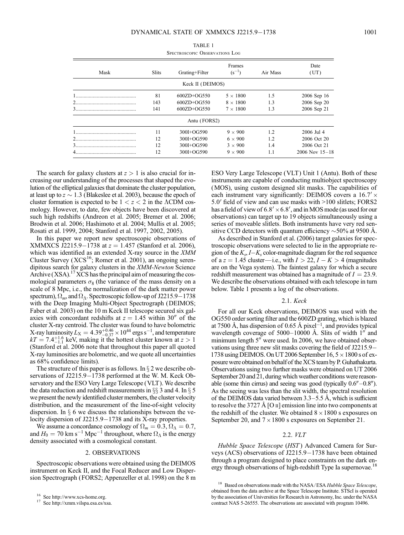|      |              | <b>SPECTROSCOPIC OBSERVATIONS LOG</b> |                      |          |                    |
|------|--------------|---------------------------------------|----------------------|----------|--------------------|
| Mask | <b>Slits</b> | Grating+Filter                        | Frames<br>$(s^{-1})$ | Air Mass | Date<br>(UT)       |
|      |              | Keck II (DEIMOS)                      |                      |          |                    |
|      | 81           | $600ZD+OG550$                         | $5 \times 1800$      | 1.5      | 2006 Sep 16        |
|      | 143          | $600ZD+OG550$                         | $8 \times 1800$      | 1.3      | 2006 Sep 20        |
| 3    | 141          | $600ZD+OG550$                         | $7 \times 1800$      | 1.3      | 2006 Sep 21        |
|      |              | Antu (FORS2)                          |                      |          |                    |
|      | 11           | 300I+OG590                            | $9 \times 900$       | 1.2      | 2006 Jul 4         |
|      | 12           | 300I+OG590                            | $6 \times 900$       | 1.2      | 2006 Oct 20        |
|      | 12           | 300I+OG590                            | $3 \times 900$       | 1.4      | 2006 Oct 21        |
|      | 12           | 300I+OG590                            | $9 \times 900$       | 1.1      | $2006$ Nov $15-18$ |

| TABLE 1                        |
|--------------------------------|
| SPECTROSCOPIC ORSERVATIONS LOG |

The search for galaxy clusters at  $z > 1$  is also crucial for increasing our understanding of the processes that shaped the evolution of the elliptical galaxies that dominate the cluster population, at least up to  $z \sim 1.3$  (Blakeslee et al. 2003), because the epoch of cluster formation is expected to be  $1 < z < 2$  in the  $\Lambda \text{CDM}$  cosmology. However, to date, few objects have been discovered at such high redshifts (Andreon et al. 2005; Bremer et al. 2006; Brodwin et al. 2006; Hashimoto et al. 2004; Mullis et al. 2005; Rosati et al. 1999, 2004; Stanford et al. 1997, 2002, 2005).

In this paper we report new spectroscopic observations of XMMXCS J2215.9-1738 at  $z = 1.457$  (Stanford et al. 2006), which was identified as an extended X-ray source in the  $XMM$ Cluster Survey ( $XCS<sup>16</sup>$ ; Romer et al. 2001), an ongoing serendipitous search for galaxy clusters in the XMM-Newton Science Archive  $(XSA)$ .<sup>17</sup> XCS has the principal aim of measuring the cosmological parameters  $\sigma_8$  (the variance of the mass density on a scale of 8 Mpc, i.e., the normalization of the dark matter power spectrum),  $\Omega_m$ , and  $\Omega_{\Lambda}$ . Spectroscopic follow-up of J2215.9-1738 with the Deep Imaging Multi-Object Spectrograph (DEIMOS; Faber et al. 2003) on the 10 m Keck II telescope secured six galaxies with concordant redshifts at  $z = 1.45$  within 30<sup>0</sup> of the cluster X-ray centroid. The cluster was found to have bolometric X-ray luminosity  $L_X = 4.39^{+0.46}_{-0.37} \times 10^{44}$  ergs s<sup>-1</sup>, and temperature  $kT = 7.4^{+1.6}_{-1.1}$  keV, making it the hottest cluster known at  $z > 1$ (Stanford et al. 2006 note that throughout this paper all quoted X-ray luminosities are bolometric, and we quote all uncertainties as 68% confidence limits).

The structure of this paper is as follows. In  $\S 2$  we describe observations of J2215.9–1738 performed at the W. M. Keck Observatory and the ESO Very Large Telescope (VLT). We describe the data reduction and redshift measurements in  $\S$  3 and 4. In  $\S$  5 we present the newly identified cluster members, the cluster velocity distribution, and the measurement of the line-of-sight velocity dispersion. In  $\S$  6 we discuss the relationships between the velocity dispersion of J2215.9-1738 and its X-ray properties.

We assume a concordance cosmology of  $\Omega_m = 0.3$ ,  $\Omega_{\Lambda} = 0.7$ , and  $H_0 = 70 \text{ km s}^{-1} \text{ Mpc}^{-1}$  throughout, where  $\Omega_{\Lambda}$  is the energy density associated with a cosmological constant.

#### 2. OBSERVATIONS

Spectroscopic observations were obtained using the DEIMOS instrument on Keck II, and the Focal Reducer and Low Dispersion Spectrograph (FORS2; Appenzeller et al. 1998) on the 8 m ESO Very Large Telescope (VLT) Unit 1 (Antu). Both of these instruments are capable of conducting multiobject spectroscopy (MOS), using custom designed slit masks. The capabilities of each instrument vary significantly: DEIMOS covers a  $16.7' \times$ 5:0 0 field of view and can use masks with >100 slitlets; FORS2 has a field of view of  $6.8' \times 6.8'$ , and in MOS mode (as used for our observations) can target up to 19 objects simultaneously using a series of moveable slitlets. Both instruments have very red sensitive CCD detectors with quantum efficiency  $\sim$  50% at 9500 Å.

As described in Stanford et al. (2006) target galaxies for spectroscopic observations were selected to lie in the appropriate region of the  $K_s$ ,  $I-K_s$  color-magnitude diagram for the red sequence of a  $z = 1.45$  cluster—i.e., with  $I > 22$ ,  $I - K > 4$  (magnitudes are on the Vega system). The faintest galaxy for which a secure redshift measurement was obtained has a magnitude of  $I = 23.9$ . We describe the observations obtained with each telescope in turn below. Table 1 presents a log of the observations.

#### 2.1. Keck

For all our Keck observations, DEIMOS was used with the OG550 order sorting filter and the 600ZD grating, which is blazed at 7500 Å, has dispersion of 0.65 Å pixel<sup>-1</sup>, and provides typical wavelength coverage of  $5000-10000$  Å. Slits of width 1<sup>n</sup> and minimum length  $5^{\prime\prime}$  were used. In 2006, we have obtained observations using three new slit masks covering the field of J2215.9 1738 using DEIMOS. On UT 2006 September 16,  $5 \times 1800$  s of exposure were obtained on behalf of the XCS team by P. Guhathakurta. Observations using two further masks were obtained on UT 2006 September 20 and 21, during which weather conditions were reasonable (some thin cirrus) and seeing was good (typically  $0.6'' - 0.8''$ ). As the seeing was less than the slit width, the spectral resolution of the DEIMOS data varied between  $3.3-5.5$  Å, which is sufficient to resolve the 3727 Å [O  $\text{II}$ ] emission line into two components at the redshift of the cluster. We obtained  $8 \times 1800$  s exposures on September 20, and  $7 \times 1800$  s exposures on September 21.

#### 2.2. VLT

Hubble Space Telescope (HST) Advanced Camera for Surveys (ACS) observations of  $J2215.9-1738$  have been obtained through a program designed to place constraints on the dark energy through observations of high-redshift Type Ia supernovae.<sup>18</sup>

<sup>16</sup> See http://www.xcs-home.org.

<sup>&</sup>lt;sup>17</sup> See http://xmm.vilspa.esa.es/xsa.

<sup>&</sup>lt;sup>18</sup> Based on observations made with the NASA/ESA Hubble Space Telescope, obtained from the data archive at the Space Telescope Institute. STScI is operated by the association of Universities for Research in Astronomy, Inc. under the NASA contract NAS 5-26555. The observations are associated with program 10496.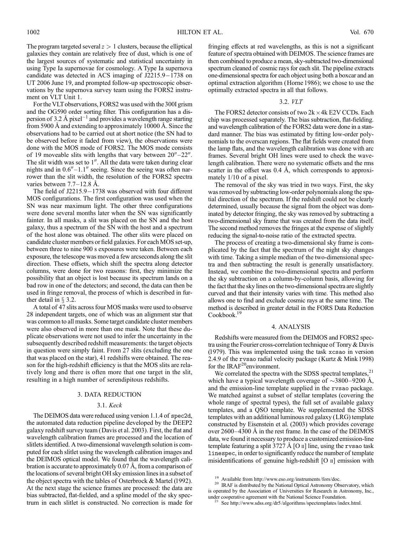The program targeted several  $z > 1$  clusters, because the elliptical galaxies they contain are relatively free of dust, which is one of the largest sources of systematic and statistical uncertainty in using Type Ia supernovae for cosmology. A Type Ia supernova candidate was detected in ACS imaging of  $J2215.9-1738$  on UT 2006 June 19, and prompted follow-up spectroscopic observations by the supernova survey team using the FORS2 instrument on VLT Unit 1.

For the VLTobservations, FORS2 was used with the 300I grism and the OG590 order sorting filter. This configuration has a dispersion of 3.2 Å pixel<sup>-1</sup> and provides a wavelength range starting from 5900 Å and extending to approximately 10000 Å. Since the observations had to be carried out at short notice (the SN had to be observed before it faded from view), the observations were done with the MOS mode of FORS2. The MOS mode consists of 19 moveable slits with lengths that vary between  $20'' - 22''$ . The slit width was set to  $1$ ". All the data were taken during clear nights and in  $0.6'' - 1.1''$  seeing. Since the seeing was often narrower than the slit width, the resolution of the FORS2 spectra varies between  $7.7-12.8$  Å.

The field of  $J2215.9-1738$  was observed with four different MOS configurations. The first configuration was used when the SN was near maximum light. The other three configurations were done several months later when the SN was significantly fainter. In all masks, a slit was placed on the SN and the host galaxy, thus a spectrum of the SN with the host and a spectrum of the host alone was obtained. The other slits were placed on candidate cluster members or field galaxies. For each MOS set-up, between three to nine 900 s exposures were taken. Between each exposure, the telescope was moved a few arcseconds along the slit direction. These offsets, which shift the spectra along detector columns, were done for two reasons: first, they minimize the possibility that an object is lost because its spectrum lands on a bad row in one of the detectors; and second, the data can then be used in fringe removal, the process of which is described in further detail in  $\S$  3.2.

A total of 47 slits across four MOS masks were used to observe 28 independent targets, one of which was an alignment star that was common to all masks. Some target candidate cluster members were also observed in more than one mask. Note that these duplicate observations were not used to infer the uncertainty in the subsequently described redshift measurements: the target objects in question were simply faint. From 27 slits (excluding the one that was placed on the star), 41 redshifts were obtained. The reason for the high-redshift efficiency is that the MOS slits are relatively long and there is often more that one target in the slit, resulting in a high number of serendipitous redshifts.

#### 3. DATA REDUCTION

#### 3.1. Keck

The DEIMOS data were reduced using version 1.1.4 of spec2d, the automated data reduction pipeline developed by the DEEP2 galaxy redshift survey team (Davis et al. 2003). First, the flat and wavelength calibration frames are processed and the location of slitlets identified. A two-dimensional wavelength solution is computed for each slitlet using the wavelength calibration images and the DEIMOS optical model. We found that the wavelength calibration is accurate to approximately 0.07 Å, from a comparison of the locations of several bright OH sky emission lines in a subset of the object spectra with the tables of Osterbrock & Martel (1992). At the next stage the science frames are processed: the data are bias subtracted, flat-fielded, and a spline model of the sky spectrum in each slitlet is constructed. No correction is made for

fringing effects at red wavelengths, as this is not a significant feature of spectra obtained with DEIMOS. The science frames are then combined to produce a mean, sky-subtracted two-dimensional spectrum cleaned of cosmic rays for each slit. The pipeline extracts one-dimensional spectra for each object using both a boxcar and an optimal extraction algorithm (Horne 1986); we chose to use the optimally extracted spectra in all that follows.

#### 3.2. VLT

The FORS2 detector consists of two  $2k \times 4k$  E2V CCDs. Each chip was processed separately. The bias subtraction, flat-fielding. and wavelength calibration of the FORS2 data were done in a standard manner. The bias was estimated by fitting low-order polynomials to the overscan regions. The flat fields were created from the lamp flats, and the wavelength calibration was done with arc frames. Several bright OH lines were used to check the wavelength calibration. There were no systematic offsets and the rms scatter in the offset was  $0.4 \text{ Å}$ , which corresponds to approximately 1/10 of a pixel.

The removal of the sky was tried in two ways. First, the sky was removed by subtracting low-order polynomials along the spatial direction of the spectrum. If the redshift could not be clearly determined, usually because the signal from the object was dominated by detector fringing, the sky was removed by subtracting a two-dimensional sky frame that was created from the data itself. The second method removes the fringes at the expense of slightly reducing the signal-to-noise ratio of the extracted spectra.

The process of creating a two-dimensional sky frame is complicated by the fact that the spectrum of the night sky changes with time. Taking a simple median of the two-dimensional spectra and then subtracting the result is generally unsatisfactory. Instead, we combine the two-dimensional spectra and perform the sky subtraction on a column-by-column basis, allowing for the fact that the sky lines on the two-dimensional spectra are slightly curved and that their intensity varies with time. This method also allows one to find and exclude cosmic rays at the same time. The method is described in greater detail in the FORS Data Reduction Cookbook.<sup>19</sup>

#### 4. ANALYSIS

Redshifts were measured from the DEIMOS and FORS2 spectra using the Fourier cross-correlation technique of Tonry & Davis (1979). This was implemented using the task xcsao in version 2.4.9 of the rvsao radial velocity package (Kurtz & Mink 1998) for the  $IRAF<sup>20</sup>$ environment.

We correlated the spectra with the SDSS spectral templates, $21$ which have a typical wavelength coverage of  $\sim$ 3800–9200 Å, and the emission-line template supplied in the rvsao package. We matched against a subset of stellar templates (covering the whole range of spectral types), the full set of available galaxy templates, and a QSO template. We supplemented the SDSS templates with an additional luminous red galaxy (LRG) template constructed by Eisenstein et al. (2003) which provides coverage over  $2600-4300$  Å in the rest frame. In the case of the DEIMOS data, we found it necessary to produce a customized emission-line template featuring a split 3727 Å [O  $\scriptstyle\rm II$ ] line, using the rvsao task linespec, in order to significantly reduce the number of template misidentifications of genuine high-redshift  $[O \nI]$  emission with

<sup>&</sup>lt;sup>19</sup> Available from http://www.eso.org/instruments/fors/doc.<br><sup>20</sup> IR AF is distributed by the National Optical Astronomy Ob

IRAF is distributed by the National Optical Astronomy Observatory, which is operated by the Association of Universities for Research in Astronomy, Inc., under cooperative agreement with the National Science Foundation.<br> $2^1$  See http://www.edge.org/drf. /also and Mational Science Foundation.

See http://www.sdss.org/dr5/algorithms/spectemplates/index.html.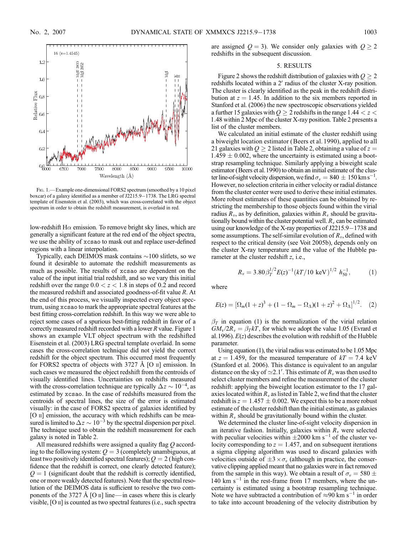

Fig. 1.— Example one-dimensional FORS2 spectrum (smoothed by a 10 pixel boxcar) of a galaxy identified as a member of J2215.9-1738. The LRG spectral template of Eisenstein et al. (2003), which was cross-correlated with the object spectrum in order to obtain the redshift measurement, is overlaid in red.

low-redshift H $\alpha$  emission. To remove bright sky lines, which are generally a significant feature at the red end of the object spectra, we use the ability of xcsao to mask out and replace user-defined regions with a linear interpolation.

Typically, each DEIMOS mask contains  $\sim$ 100 slitlets, so we found it desirable to automate the redshift measurements as much as possible. The results of xcsao are dependent on the value of the input initial trial redshift, and so we vary this initial redshift over the range  $0.0 < z < 1.8$  in steps of 0.2 and record the measured redshift and associated goodness-of-fit value R. At the end of this process, we visually inspected every object spectrum, using xcsao to mark the appropriate spectral features at the best fitting cross-correlation redshift. In this way we were able to reject some cases of a spurious best-fitting redshift in favor of a correctly measured redshift recorded with a lower R value. Figure 1 shows an example VLT object spectrum with the redshifted Eisenstein et al. (2003) LRG spectral template overlaid. In some cases the cross-correlation technique did not yield the correct redshift for the object spectrum. This occurred most frequently for FORS2 spectra of objects with  $3727 \text{ Å}$  [O  $\text{II}$ ] emission. In such cases we measured the object redshift from the centroids of visually identified lines. Uncertainties on redshifts measured with the cross-correlation technique are typically  $\Delta z \sim 10^{-4}$ , as estimated by xcsao. In the case of redshifts measured from the centroids of spectral lines, the size of the error is estimated visually: in the case of FORS2 spectra of galaxies identified by [O  $\scriptstyle\rm II$ ] emission, the accuracy with which redshifts can be measured is limited to  $\Delta z \sim 10^{-3}$  by the spectral dispersion per pixel. The technique used to obtain the redshift measurement for each galaxy is noted in Table 2.

All measured redshifts were assigned a quality flag Q according to the following system:  $Q = 3$  (completely unambiguous, at least two positively identified spectral features);  $Q = 2$  (high confidence that the redshift is correct, one clearly detected feature);  $Q = 1$  (significant doubt that the redshift is correctly identified, one or more weakly detected features). Note that the spectral resolution of the DEIMOS data is sufficient to resolve the two components of the 3727 Å [O  $\text{II}$ ] line—in cases where this is clearly visible,  $[O \, \text{II}]$  is counted as two spectral features (i.e., such spectra are assigned  $Q = 3$ ). We consider only galaxies with  $Q > 2$ redshifts in the subsequent discussion.

#### 5. RESULTS

Figure 2 shows the redshift distribution of galaxies with  $Q \ge 2$ redshifts located within a 2' radius of the cluster X-ray position. The cluster is clearly identified as the peak in the redshift distribution at  $z = 1.45$ . In addition to the six members reported in Stanford et al. (2006) the new spectroscopic observations yielded a further 15 galaxies with  $Q \geq 2$  redshifts in the range 1.44  $< z <$ 1:48 within 2 Mpc of the cluster X-ray position. Table 2 presents a list of the cluster members.

We calculated an initial estimate of the cluster redshift using a biweight location estimator (Beers et al. 1990), applied to all 21 galaxies with  $Q \ge 2$  listed in Table 2, obtaining a value of  $z =$  $1.459 \pm 0.002$ , where the uncertainty is estimated using a bootstrap resampling technique. Similarly applying a biweight scale estimator (Beers et al.1990) to obtain an initial estimate of the cluster line-of-sight velocity dispersion, we find  $\sigma_v = 840 \pm 150$  km s<sup>-1</sup>. However, no selection criteria in either velocity or radial distance from the cluster center were used to derive these initial estimates. More robust estimates of these quantities can be obtained by restricting the membership to those objects found within the virial radius  $R_v$ , as by definition, galaxies within  $R_v$  should be gravitationally bound within the cluster potential well.  $R<sub>v</sub>$  can be estimated using our knowledge of the X-ray properties of  $J2215.9-1738$  and some assumptions. The self-similar evolution of  $R_v$ , defined with respect to the critical density (see Voit 2005b), depends only on the cluster X-ray temperature and the value of the Hubble parameter at the cluster redshift z, i.e.,

$$
R_v = 3.80 \beta_T^{1/2} E(z)^{-1} (kT/10 \text{ keV})^{1/2} h_{50}^{-1}, \qquad (1)
$$

where

$$
E(z) = [\Omega_m(1+z)^3 + (1-\Omega_m-\Omega_\Lambda)(1+z)^2 + \Omega_\Lambda]^{1/2}.
$$
 (2)

 $\beta$ <sub>T</sub> in equation (1) is the normalization of the virial relation  $GM_{\rm v}/2R_v = \beta_T kT$ , for which we adopt the value 1.05 (Evrard et al. 1996).  $E(z)$  describes the evolution with redshift of the Hubble parameter.

Using equation (1), the virial radius was estimated to be 1.05 Mpc at  $z = 1.459$ , for the measured temperature of  $kT = 7.4 \text{ keV}$ (Stanford et al. 2006). This distance is equivalent to an angular distance on the sky of  $\simeq 2.1'$ . This estimate of  $R_v$  was then used to select cluster members and refine the measurement of the cluster redshift: applying the biweight location estimator to the 17 galaxies located within  $R<sub>v</sub>$  as listed in Table 2, we find that the cluster redshift is  $z = 1.457 \pm 0.002$ . We expect this to be a more robust estimate of the cluster redshift than the initial estimate, as galaxies within  $R<sub>v</sub>$  should be gravitationally bound within the cluster.

We determined the cluster line-of-sight velocity dispersion in an iterative fashion. Initially, galaxies within  $R<sub>v</sub>$  were selected with peculiar velocities within  $\pm 2000$  km s<sup>-1</sup> of the cluster velocity corresponding to  $z = 1.457$ , and on subsequent iterations a sigma clipping algorithm was used to discard galaxies with velocities outside of  $\pm 3 \times \sigma_v$  (although in practice, the conservative clipping applied meant that no galaxies were in fact removed from the sample in this way). We obtain a result of  $\sigma_v = 580 \pm 188$ 140 km  $s^{-1}$  in the rest-frame from 17 members, where the uncertainty is estimated using a bootstrap resampling technique. Note we have subtracted a contribution of  $\approx 90 \text{ km s}^{-1}$  in order to take into account broadening of the velocity distribution by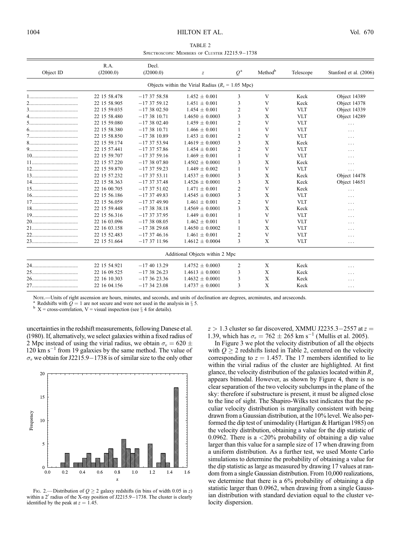TABLE 2 SPECTROSCOPIC MEMBERS OF CLUSTER J2215.9-1738

| Object ID        | R.A.<br>(J2000.0) | Decl.<br>(J2000.0) | $\boldsymbol{Z}$                                     | $Q^{\rm a}$ | Method <sup>b</sup> | Telescope  | Stanford et al. (2006) |
|------------------|-------------------|--------------------|------------------------------------------------------|-------------|---------------------|------------|------------------------|
|                  |                   |                    | Objects within the Virial Radius ( $R_n = 1.05$ Mpc) |             |                     |            |                        |
|                  | 22 15 58.478      | $-173758.58$       | $1.452 \pm 0.001$                                    | 3           | V                   | Keck       | Object 14389           |
|                  | 22 15 58.905      | $-173759.12$       | $1.451 \pm 0.001$                                    | 3           | V                   | Keck       | Object 14378           |
|                  | 22 15 59.035      | $-173802.50$       | $1.454 \pm 0.001$                                    | 2           | V                   | <b>VLT</b> | Object 14339           |
|                  | 22 15 58.480      | $-173810.71$       | $1.4650 \pm 0.0003$                                  | 3           | X                   | <b>VLT</b> | Object 14289           |
|                  | 22 15 59.080      | $-173802.40$       | $1.459 \pm 0.001$                                    | 2           | V                   | <b>VLT</b> | $\cdots$               |
|                  | 22 15 58.380      | $-173810.71$       | $1.466 \pm 0.001$                                    | 1           | V                   | <b>VLT</b> | .                      |
|                  | 22 15 58.850      | $-173810.89$       | $1.453 \pm 0.001$                                    | 2           | V                   | <b>VLT</b> | .                      |
| $8 \label{eq:8}$ | 22 15 59.174      | $-173753.94$       | $1.4619 \pm 0.0003$                                  | 3           | X                   | Keck       | .                      |
|                  | 22 15 57.441      | $-173757.86$       | $1.454 \pm 0.001$                                    | 2           | V                   | <b>VLT</b> | .                      |
|                  | 22 15 59.707      | $-173759.16$       | $1.469 \pm 0.001$                                    | 1           | V                   | <b>VLT</b> | .                      |
|                  | 22 15 57.220      | $-173807.80$       | $1.4502 \pm 0.0001$                                  | 3           | X                   | Keck       | $\cdots$               |
|                  | 22 15 59.870      | $-173759.23$       | $1.449 \pm 0.002$                                    | 1           | V                   | <b>VLT</b> | $\cdots$               |
|                  | 22 15 57.232      | $-173753.11$       | $1.4537 \pm 0.0001$                                  | 3           | X                   | Keck       | Object 14478           |
|                  | 22 15 58.363      | $-173737.48$       | $1.4526 \pm 0.0001$                                  | 3           | X                   | Keck       | Object 14651           |
|                  | 22 16 00.705      | $-173751.02$       | $1.471 \pm 0.001$                                    | 2           | V                   | Keck       | .                      |
|                  | 22 15 56.186      | $-173749.83$       | $1.4545 \pm 0.0003$                                  | 3           | X                   | <b>VLT</b> | .                      |
|                  | 22 15 56.059      | $-173749.90$       | $1.461 \pm 0.001$                                    | 2           | V                   | <b>VLT</b> | .                      |
|                  | 22 15 59.448      | $-173838.18$       | $1.4569 \pm 0.0001$                                  | 3           | X                   | Keck       | $\cdots$               |
|                  | 22 15 56.316      | $-173737.95$       | $1.449 \pm 0.001$                                    |             | V                   | <b>VLT</b> | $\cdots$               |
|                  | 22 16 03:096      | $-173808.05$       | $1.462 \pm 0.001$                                    | 1           | V                   | <b>VLT</b> | .                      |
|                  | 22 16 03.158      | $-173829.68$       | $1.4650 \pm 0.0002$                                  | 1           | X                   | <b>VLT</b> | $\cdots$               |
|                  | 22 15 52.483      | $-173746.16$       | $1.461 \pm 0.001$                                    | 2           | V                   | <b>VLT</b> | .                      |
|                  | 22 15 51.664      | $-173711.96$       | $1.4612 \pm 0.0004$                                  | 3           | X                   | <b>VLT</b> | .                      |
|                  |                   |                    | Additional Objects within 2 Mpc                      |             |                     |            |                        |
|                  | 22 15 54.921      | $-174013.29$       | $1.4752 \pm 0.0003$                                  | 2           | X                   | Keck       | .                      |
|                  | 22 16 09:525      | $-173826.23$       | $1.4613 \pm 0.0001$                                  | 3           | X                   | Keck       | .                      |
|                  | 22 16 10.303      | $-17362336$        | $1.4632 \pm 0.0001$                                  | 3           | X                   | Keck       | .                      |
|                  | 22 16 04.156      | $-173423.08$       | $1.4737 \pm 0.0001$                                  | 3           | X                   | Keck       | .                      |

Nore.—Units of right ascension are hours, minutes, and seconds, and units of declination are degrees, arcminutes, and arcseconds.

Redshifts with  $\overline{Q} = 1$  are not secure and were not used in the analysis in  $\S$  5.

 $b$  X = cross-correlation, V = visual inspection (see  $\S$  4 for details).

uncertainties in the redshift measurements, following Danese et al. (1980). If, alternatively, we select galaxies within a fixed radius of 2 Mpc instead of using the virial radius, we obtain  $\sigma_v = 620 \pm 128$  $120 \text{ km s}^{-1}$  from 19 galaxies by the same method. The value of  $\sigma_v$  we obtain for J2215.9–1738 is of similar size to the only other



FIG. 2.— Distribution of  $Q \ge 2$  galaxy redshifts (in bins of width 0.05 in z) within a  $2^{\prime}$  radius of the X-ray position of J2215.9-1738. The cluster is clearly identified by the peak at  $z = 1.45$ .

 $z > 1.3$  cluster so far discovered, XMMU J2235.3-2557 at  $z =$ 1.39, which has  $\sigma_v = 762 \pm 265$  km s<sup>-1</sup> (Mullis et al. 2005).

In Figure 3 we plot the velocity distribution of all the objects with  $Q \ge 2$  redshifts listed in Table 2, centered on the velocity corresponding to  $z = 1.457$ . The 17 members identified to lie within the virial radius of the cluster are highlighted. At first glance, the velocity distribution of the galaxies located within  $R<sub>v</sub>$ appears bimodal. However, as shown by Figure 4, there is no clear separation of the two velocity subclumps in the plane of the sky: therefore if substructure is present, it must be aligned close to the line of sight. The Shapiro-Wilks test indicates that the peculiar velocity distribution is marginally consistent with being drawn from a Gaussian distribution, at the 10% level. We also performed the dip test of unimodality (Hartigan & Hartigan 1985) on the velocity distribution, obtaining a value for the dip statistic of 0.0962. There is a  $\langle 20\%$  probability of obtaining a dip value larger than this value for a sample size of 17 when drawing from a uniform distribution. As a further test, we used Monte Carlo simulations to determine the probability of obtaining a value for the dip statistic as large as measured by drawing 17 values at random from a single Gaussian distribution. From 10,000 realizations, we determine that there is a 6% probability of obtaining a dip statistic larger than 0.0962, when drawing from a single Gaussian distribution with standard deviation equal to the cluster velocity dispersion.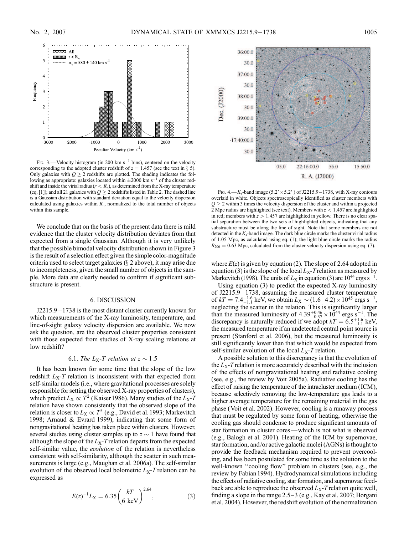

FIG. 3.—Velocity histogram (in 200 km s<sup>-1</sup> bins), centered on the velocity corresponding to the adopted cluster redshift of  $z = 1.457$  (see the text in § 5). Only galaxies with  $Q \ge 2$  redshifts are plotted. The shading indicates the following as appropriate: galaxies located within  $\pm 2000$  km s<sup>-1</sup> of the cluster redshift and inside the virial radius ( $r < R<sub>v</sub>$ ), as determined from the X-ray temperature (eq. [1]); and all 21 galaxies with  $Q \ge 2$  redshifts listed in Table 2. The dashed line is a Gaussian distribution with standard deviation equal to the velocity dispersion calculated using galaxies within  $R<sub>v</sub>$ , normalized to the total number of objects within this sample.

We conclude that on the basis of the present data there is mild evidence that the cluster velocity distribution deviates from that expected from a single Gaussian. Although it is very unlikely that the possible bimodal velocity distribution shown in Figure 3 is the result of a selection effect given the simple color-magnitude criteria used to select target galaxies  $(\S 2$  above), it may arise due to incompleteness, given the small number of objects in the sample. More data are clearly needed to confirm if significant substructure is present.

#### 6. DISCUSSION

 $J2215.9 - 1738$  is the most distant cluster currently known for which measurements of the X-ray luminosity, temperature, and line-of-sight galaxy velocity dispersion are available. We now ask the question, are the observed cluster properties consistent with those expected from studies of X-ray scaling relations at low redshift?

#### 6.1. The L<sub>X</sub>-T relation at  $z \sim 1.5$

It has been known for some time that the slope of the low redshift  $L_X-T$  relation is inconsistent with that expected from self-similar models (i.e., where gravitational processes are solely responsible for setting the observed X-ray properties of clusters), which predict  $L_X \propto T^2$  (Kaiser 1986). Many studies of the  $L_X$ -T relation have shown consistently that the observed slope of the relation is closer to  $L_X \propto T^3$  (e.g., David et al. 1993; Markevitch 1998; Arnaud & Evrard 1999), indicating that some form of nongravitational heating has taken place within clusters. However, several studies using cluster samples up to  $z \sim 1$  have found that although the slope of the  $L_X$ -T relation departs from the expected self-similar value, the *evolution* of the relation is nevertheless consistent with self-similarity, although the scatter in such measurements is large (e.g., Maughan et al. 2006a). The self-similar evolution of the observed local bolometric  $L_X$ -T relation can be expressed as

$$
E(z)^{-1}L_X = 6.35 \left(\frac{kT}{6 \text{ keV}}\right)^{2.64},\tag{3}
$$



Fig. 4.— $K_s$ -band image (5.2' × 5.2') of J2215.9-1738, with X-ray contours overlaid in white. Objects spectroscopically identified as cluster members with  $Q \geq 2$  within 3 times the velocity dispersion of the cluster and within a projected 2 Mpc radius are highlighted (see text). Members with  $z < 1.457$  are highlighted in red; members with  $z > 1.457$  are highlighted in yellow. There is no clear spatial separation between the two sets of highlighted objects, indicating that any substructure must be along the line of sight. Note that some members are not detected in the  $K_s$ -band image. The dark blue circle marks the cluster virial radius of 1.05 Mpc, as calculated using eq. (1); the light blue circle marks the radius  $R_{200} = 0.63$  Mpc, calculated from the cluster velocity dispersion using eq. (7).

where  $E(z)$  is given by equation (2). The slope of 2.64 adopted in equation (3) is the slope of the local  $L_X$ -T relation as measured by Markevitch (1998). The units of  $L_X$  in equation (3) are  $10^{44}$  ergs s<sup>-1</sup>.

Using equation (3) to predict the expected X-ray luminosity of J2215.9-1738, assuming the measured cluster temperature of  $kT = 7.4^{+1.6}_{-1.1}$  keV, we obtain  $L_X \sim (1.6-4.2) \times 10^{45}$  ergs s<sup>-1</sup>,  $\mathbf{r}_1 \mathbf{r}_1 = \mathbf{r}_1 \cdot \mathbf{r}_{-1,1}$  kev, we obtain  $L_X \sim (1.6-4.2) \times 10^{-4}$  ergs s , neglecting the scatter in the relation. This is significantly larger than the measured luminosity of  $4.39^{+0.46}_{-0.37} \times 10^{44}$  ergs s<sup>-1</sup>. The discrepancy is naturally reduced if we adopt  $kT = 6.5^{+1.6}_{-1.1}$  keV, the measured temperature if an undetected central point source is present (Stanford et al. 2006), but the measured luminosity is still significantly lower than that which would be expected from self-similar evolution of the local  $L_X$ -T relation.

A possible solution to this discrepancy is that the evolution of the  $L<sub>X</sub>$ -T relation is more accurately described with the inclusion of the effects of nongravitational heating and radiative cooling (see, e.g., the review by Voit 2005a). Radiative cooling has the effect of raising the temperature of the intracluster medium ( ICM ), because selectively removing the low-temperature gas leads to a higher average temperature for the remaining material in the gas phase (Voit et al. 2002). However, cooling is a runaway process that must be regulated by some form of heating, otherwise the cooling gas should condense to produce significant amounts of star formation in cluster cores—which is not what is observed (e.g., Balogh et al. 2001). Heating of the ICM by supernovae, star formation, and/or active galactic nuclei (AGNs) is thought to provide the feedback mechanism required to prevent overcooling, and has been postulated for some time as the solution to the well-known "cooling flow" problem in clusters (see, e.g., the review by Fabian 1994). Hydrodynamical simulations including the effects of radiative cooling, star formation, and supernovae feedback are able to reproduce the observed  $L<sub>X</sub>$ -T relation quite well, finding a slope in the range  $2.5-3$  (e.g., Kay et al. 2007; Borgani et al. 2004). However, the redshift evolution of the normalization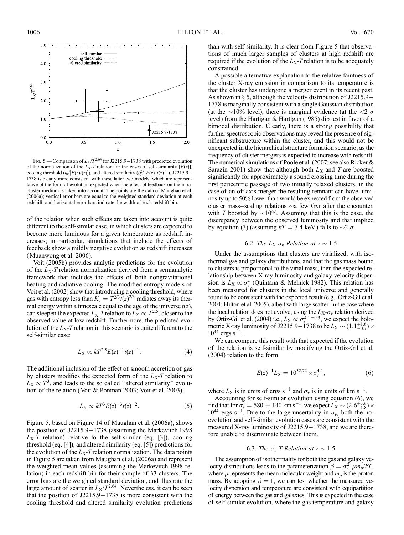

Fig. 5.—Comparison of  $L_X/T^{2.64}$  for J2215.9–1738 with predicted evolution of the normalization of the  $L_X$ -T relation for the cases of self-similarity  $[E(z)]$ , cooling threshold  $(t_0/[E(z)t(z)])$ , and altered similarity  $(t_0^2/[E(z)^3t(z)^2])$ . J2215.9– 1738 is clearly more consistent with these latter two models, which are representative of the form of evolution expected when the effect of feedback on the intracluster medium is taken into account. The points are the data of Maughan et al. (2006a); vertical error bars are equal to the weighted standard deviation at each redshift, and horizontal error bars indicate the width of each redshift bin.

of the relation when such effects are taken into account is quite different to the self-similar case, in which clusters are expected to become more luminous for a given temperature as redshift increases; in particular, simulations that include the effects of feedback show a mildly negative evolution as redshift increases (Muanwong et al. 2006).

Voit (2005b) provides analytic predictions for the evolution of the  $L_X$ -T relation normalization derived from a semianalytic framework that includes the effects of both nongravitational heating and radiative cooling. The modified entropy models of Voit et al. (2002) show that introducing a cooling threshold, where gas with entropy less than  $K_c = T^{2/3} t(z)^{2/3}$  radiates away its thermal energy within a timescale equal to the age of the universe  $t(z)$ , can steepen the expected  $L_X$ -T relation to  $L_X \propto T^{2.5}$ , closer to the observed value at low redshift. Furthermore, the predicted evolution of the  $L_X$ -T relation in this scenario is quite different to the self-similar case:

$$
L_X \propto kT^{2.5}E(z)^{-1}t(z)^{-1}.
$$
 (4)

The additional inclusion of the effect of smooth accretion of gas by clusters modifies the expected form of the  $L<sub>X</sub>$ -T relation to  $L_X \propto T^3$ , and leads to the so called "altered similarity" evolution of the relation (Voit & Ponman 2003; Voit et al. 2003):

$$
L_X \propto kT^3 E(z)^{-3} t(z)^{-2}.
$$
 (5)

Figure 5, based on Figure 14 of Maughan et al. (2006a), shows the position of  $J2215.9-1738$  (assuming the Markevitch 1998  $L_X$ -T relation) relative to the self-similar (eq. [3]), cooling threshold (eq. [4]), and altered similarity (eq. [5]) predictions for the evolution of the  $L_X$ -T relation normalization. The data points in Figure 5 are taken from Maughan et al. (2006a) and represent the weighted mean values (assuming the Markevitch 1998 relation) in each redshift bin for their sample of 33 clusters. The error bars are the weighted standard deviation, and illustrate the large amount of scatter in  $L_X/T^{2.64}$ . Nevertheless, it can be seen that the position of  $J2215.9-1738$  is more consistent with the cooling threshold and altered similarity evolution predictions

than with self-similarity. It is clear from Figure 5 that observations of much larger samples of clusters at high redshift are required if the evolution of the  $L_X$ -T relation is to be adequately constrained.

A possible alternative explanation to the relative faintness of the cluster X-ray emission in comparison to its temperature is that the cluster has undergone a merger event in its recent past. As shown in  $\S$  5, although the velocity distribution of J2215.9– 1738 is marginally consistent with a single Gaussian distribution (at the  $\sim$ 10% level), there is marginal evidence (at the  $\lt 2\sigma$ level) from the Hartigan & Hartigan (1985) dip test in favor of a bimodal distribution. Clearly, there is a strong possibility that further spectroscopic observations may reveal the presence of significant substructure within the cluster, and this would not be unexpected in the hierarchical structure formation scenario, as the frequency of cluster mergers is expected to increase with redshift. The numerical simulations of Poole et al. (2007; see also Ricker & Sarazin 2001) show that although both  $L_X$  and T are boosted significantly for approximately a sound crossing time during the first pericentric passage of two initially relaxed clusters, in the case of an off-axis merger the resulting remnant can have luminosity up to 50% lower than would be expected from the observed cluster mass-scaling relations  $\sim$ a few Gyr after the encounter, with T boosted by  $\sim$ 10%. Assuming that this is the case, the discrepancy between the observed luminosity and that implied by equation (3) (assuming  $kT = 7.4$  keV) falls to  $\sim$ 2  $\sigma$ .

#### 6.2. The  $L_X-\sigma_v$  Relation at  $z \sim 1.5$

Under the assumptions that clusters are virialized, with isothermal gas and galaxy distributions, and that the gas mass bound to clusters is proportional to the virial mass, then the expected relationship between X-ray luminosity and galaxy velocity dispersion is  $\bar{L}_X \propto \sigma_v^4$  (Quintana & Melnick 1982). This relation has been measured for clusters in the local universe and generally found to be consistent with the expected result (e.g., Ortiz-Gil et al. 2004; Hilton et al. 2005), albeit with large scatter. In the case where the local relation does not evolve, using the  $L_X-\sigma_v$  relation derived by Ortiz-Gil et al. (2004) i.e.,  $L_X \propto \sigma_v^{4.1 \pm 0.3}$ , we expect the bolometric X-ray luminosity of J2215.9-1738 to be  $L_X \sim (1.1^{+1.6}_{-0.7}) \times 10^{44}$  $10^{44}$  ergs s<sup>-1</sup>.

We can compare this result with that expected if the evolution of the relation is self-similar by modifying the Ortiz-Gil et al. (2004) relation to the form

$$
E(z)^{-1}L_X = 10^{32.72} \times \sigma_v^{4.1},\tag{6}
$$

where  $L_X$  is in units of ergs s<sup>-1</sup> and  $\sigma_v$  is in units of km s<sup>-1</sup>.

Accounting for self-similar evolution using equation (6), we find that for  $\sigma_v = 580 \pm 140 \text{ km s}^{-1}$ , we expect  $L_{\text{X}} \sim (2.6^{+3.6}_{-1.8}) \times 10^{44}$  $10^{44}$  ergs s<sup>-1</sup>. Due to the large uncertainty in  $\sigma_v$ , both the noevolution and self-similar evolution cases are consistent with the measured X-ray luminosity of  $J2215.9-1738$ , and we are therefore unable to discriminate between them.

#### 6.3. The  $\sigma_v$ -T Relation at  $z \sim 1.5$

The assumption of isothermality for both the gas and galaxy velocity distributions leads to the parameterization  $\beta = \sigma_v^2 \mu m_p / kT$ , where  $\mu$  represents the mean molecular weight and  $m_p$  is the proton mass. By adopting  $\beta = 1$ , we can test whether the measured velocity dispersion and temperature are consistent with equipartition of energy between the gas and galaxies. This is expected in the case of self-similar evolution, where the gas temperature and galaxy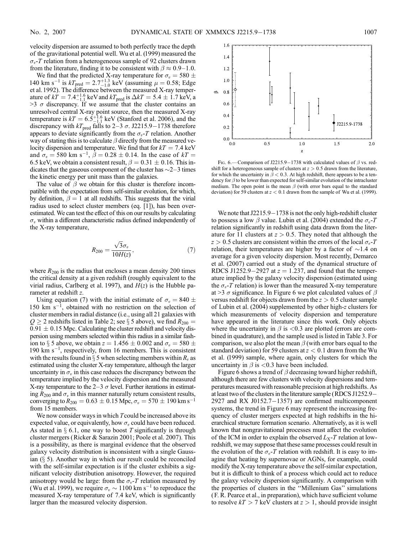velocity dispersion are assumed to both perfectly trace the depth of the gravitational potential well. Wu et al. (1999) measured the  $\sigma_v$ -T relation from a heterogeneous sample of 92 clusters drawn from the literature, finding it to be consistent with  $\beta \approx 0.9-1.0$ .

We find that the predicted X-ray temperature for  $\sigma_v = 580 \pm$ 140 km s<sup>-1</sup> is  $kT_{\text{pred}} = 2.7^{+1.3}_{-1.0}$  keV (assuming  $\mu = 0.58$ ; Edge et al. 1992). The difference between the measured X-ray temperature of  $kT = 7.4^{+1.6}_{-1.1}$  keV and  $kT_{pred}$  is  $\Delta kT = 5.4 \pm 1.7$  keV, a  $>3$   $\sigma$  discrepancy. If we assume that the cluster contains an unresolved central X-ray point source, then the measured X-ray temperature is  $kT = 6.5^{+1.6}_{-1.1}$  keV (Stanford et al. 2006), and the discrepancy with  $kT_{\text{pred}}$  falls to 2–3  $\sigma$ . J2215.9–1738 therefore appears to deviate significantly from the  $\sigma_v$ -T relation. Another way of stating this is to calculate  $\beta$  directly from the measured velocity dispersion and temperature. We find that for  $kT = 7.4 \text{ keV}$ and  $\sigma_v = 580 \text{ km s}^{-1}$ ,  $\hat{\beta} = 0.28 \pm 0.14$ . In the case of  $kT =$ 6.5 keV, we obtain a consistent result,  $\beta = 0.31 \pm 0.16$ . This indicates that the gaseous component of the cluster has  $\sim$  2 $-3$  times the kinetic energy per unit mass than the galaxies.

The value of  $\beta$  we obtain for this cluster is therefore incompatible with the expectation from self-similar evolution, for which, by definition,  $\beta = 1$  at all redshifts. This suggests that the virial radius used to select cluster members (eq. [1]), has been overestimated. We can test the effect of this on our results by calculating  $\sigma<sub>v</sub>$  within a different characteristic radius defined independently of the X-ray temperature,

$$
R_{200} = \frac{\sqrt{3}\sigma_v}{10H(z)},
$$
\n(7)

where  $R_{200}$  is the radius that encloses a mean density 200 times the critical density at a given redshift (roughly equivalent to the virial radius, Carlberg et al. 1997), and  $H(z)$  is the Hubble parameter at redshift z.

Using equation (7) with the initial estimate of  $\sigma_v = 840 \pm 0.001$ 150 km  $s^{-1}$ , obtained with no restriction on the selection of cluster members in radial distance (i.e., using all 21 galaxies with  $Q \ge 2$  redshifts listed in Table 2; see § 5 above), we find  $R_{200} =$  $0.91 \pm 0.15$  Mpc. Calculating the cluster redshift and velocity dispersion using members selected within this radius in a similar fashion to  $\S$  5 above, we obtain  $z = 1.456 \pm 0.002$  and  $\sigma_v = 580 \pm 0.002$ 190 km  $s^{-1}$ , respectively, from 16 members. This is consistent with the results found in  $\S$  5 when selecting members within  $R_v$  as estimated using the cluster X-ray temperature, although the larger uncertainty in  $\sigma_v$  in this case reduces the discrepancy between the temperature implied by the velocity dispersion and the measured X-ray temperature to the 2-3  $\sigma$  level. Further iterations in estimating  $R_{200}$  and  $\sigma_v$  in this manner naturally return consistent results, converging to  $R_{200} = 0.63 \pm 0.15$  Mpc,  $\sigma_v = 570 \pm 190$  km s<sup>-1</sup> from 15 members.

We now consider ways in which  $T$  could be increased above its expected value, or equivalently, how  $\sigma_v$  could have been reduced. As stated in  $\S 6.1$ , one way to boost T significantly is through cluster mergers (Ricker & Sarazin 2001; Poole et al. 2007). This is a possibility, as there is marginal evidence that the observed galaxy velocity distribution is inconsistent with a single Gaussian  $(\S$  5). Another way in which our result could be reconciled with the self-similar expectation is if the cluster exhibits a significant velocity distribution anisotropy. However, the required anisotropy would be large: from the  $\sigma_v$ -T relation measured by (Wu et al. 1999), we require  $\sigma_v \sim 1100 \text{ km s}^{-1}$  to reproduce the measured X-ray temperature of 7.4 keV, which is significantly larger than the measured velocity dispersion.



FIG. 6.—Comparison of J2215.9-1738 with calculated values of  $\beta$  vs. redshift for a heterogeneous sample of clusters at  $z > 0.5$  drawn from the literature, for which the uncertainty in  $\beta$  < 0.3. At high redshift, there appears to be a tendency for  $\beta$  to be lower than expected for self-similar evolution of the intracluster medium. The open point is the mean  $\beta$  (with error bars equal to the standard deviation) for 59 clusters at  $z < 0.1$  drawn from the sample of Wu et al. (1999).

We note that  $J2215.9-1738$  is not the only high-redshift cluster to possess a low  $\beta$  value. Lubin et al. (2004) extended the  $\sigma_{\nu}$ -T relation significantly in redshift using data drawn from the literature for 11 clusters at  $z > 0.5$ . They noted that although the  $z > 0.5$  clusters are consistent within the errors of the local  $\sigma_{\nu}$ -T relation, their temperatures are higher by a factor of  $\sim$ 1.4 on average for a given velocity dispersion. Most recently, Demarco et al. (2007) carried out a study of the dynamical structure of RDCS J1252.9-2927 at  $z = 1.237$ , and found that the temperature implied by the galaxy velocity dispersion (estimated using the  $\sigma_{v}$ -T relation) is lower than the measured X-ray temperature at >3  $\sigma$  significance. In Figure 6 we plot calculated values of  $\beta$ versus redshift for objects drawn from the  $z > 0.5$  cluster sample of Lubin et al. (2004) supplemented by other high-z clusters for which measurements of velocity dispersion and temperature have appeared in the literature since this work. Only objects where the uncertainty in  $\beta$  is <0.3 are plotted (errors are combined in quadrature), and the sample used is listed in Table 3. For comparison, we also plot the mean  $\beta$  (with error bars equal to the standard deviation) for 59 clusters at  $z < 0.1$  drawn from the Wu et al. (1999) sample, where again, only clusters for which the uncertainty in  $\beta$  is <0.3 have been included.

Figure 6 shows a trend of  $\beta$  decreasing toward higher redshift, although there are few clusters with velocity dispersions and temperatures measured with reasonable precision at high redshifts. As at least two of the clusters in the literature sample (RDCS J1252.9 2927 and RX J0152.7 $-1357$ ) are confirmed multicomponent systems, the trend in Figure 6 may represent the increasing frequency of cluster mergers expected at high redshifts in the hierarchical structure formation scenario. Alternatively, as it is well known that nongravitational processes must affect the evolution of the ICM in order to explain the observed  $L_X$ -T relation at lowredshift, we may suppose that these same processes could result in the evolution of the  $\sigma_{v}$ -T relation with redshift. It is easy to imagine that heating by supernovae or AGNs, for example, could modify the X-ray temperature above the self-similar expectation, but it is difficult to think of a process which could act to reduce the galaxy velocity dispersion significantly. A comparison with the properties of clusters in the ''Millenium Gas'' simulations (F. R. Pearce et al., in preparation), which have sufficient volume to resolve  $kT > 7$  keV clusters at  $z > 1$ , should provide insight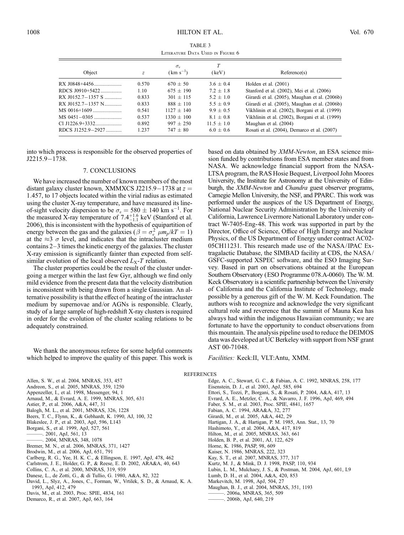| TABLE 3                          |  |  |  |  |  |
|----------------------------------|--|--|--|--|--|
| LITERATURE DATA USED IN FIGURE 6 |  |  |  |  |  |

| Object              | Ζ     | $\sigma_{v}$<br>$(km s^{-1})$ | (keV)        | Reference(s)                                   |
|---------------------|-------|-------------------------------|--------------|------------------------------------------------|
| RX J0848+4456       | 0.570 | $670 + 50$                    | $3.6 + 0.4$  | Holden et al. $(2001)$                         |
| RDCS J0910+5422     | 1.10  | $675 + 190$                   | $7.2 + 1.8$  | Stanford et al. (2002), Mei et al. (2006)      |
| $RX$ J0152.7–1357 S | 0.833 | $301 + 115$                   | $5.2 + 1.0$  | Girardi et al. (2005), Maughan et al. (2006b)  |
| RX J0152.7-1357 N   | 0.833 | $888 + 110$                   | $5.5 + 0.9$  | Girardi et al. (2005), Maughan et al. (2006b)  |
|                     | 0.541 | $1127 + 140$                  | $9.9 + 0.5$  | Vikhlinin et al. (2002), Borgani et al. (1999) |
|                     | 0.537 | $1330 + 100$                  | $8.1 + 0.8$  | Vikhlinin et al. (2002), Borgani et al. (1999) |
|                     | 0.892 | $997 + 250$                   | $11.5 + 1.0$ | Maughan et al. (2004)                          |
| RDCS J1252.9–2927   | 1.237 | $747 \pm 80$                  | $6.0 + 0.6$  | Rosati et al. (2004), Demarco et al. (2007)    |

into which process is responsible for the observed properties of  $J2215.9 - 1738.$ 

#### 7. CONCLUSIONS

We have increased the number of known members of the most distant galaxy cluster known, XMMXCS J2215.9–1738 at  $z =$ 1:457, to 17 objects located within the virial radius as estimated using the cluster X-ray temperature, and have measured its lineof-sight velocity dispersion to be  $\sigma_v = 580 \pm 140$  km s<sup>-1</sup>. For the measured X-ray temperature of  $7.4^{+1.6}_{-1.1}$  keV (Stanford et al. 2006), this is inconsistent with the hypothesis of equipartition of energy between the gas and the galaxies ( $\beta = \sigma_v^2 \mu m_p/kT = 1$ ) at the  $\approx$ 3  $\sigma$  level, and indicates that the intracluster medium contains  $2-3$  times the kinetic energy of the galaxies. The cluster X-ray emission is significantly fainter than expected from selfsimilar evolution of the local observed  $L_X$ -T relation.

The cluster properties could be the result of the cluster undergoing a merger within the last few Gyr, although we find only mild evidence from the present data that the velocity distribution is inconsistent with being drawn from a single Gaussian. An alternative possibility is that the effect of heating of the intracluster medium by supernovae and/or AGNs is responsible. Clearly, study of a large sample of high-redshift X-ray clusters is required in order for the evolution of the cluster scaling relations to be adequately constrained.

We thank the anonymous referee for some helpful comments which helped to improve the quality of this paper. This work is based on data obtained by XMM-Newton, an ESA science mission funded by contributions from ESA member states and from NASA. We acknowledge financial support from the NASA-LTSA program, the RAS Hosie Bequest, Liverpool John Moores University, the Institute for Astronomy at the University of Edinburgh, the XMM-Newton and Chandra guest observer programs, Carnegie Mellon University, the NSF, and PPARC. This work was performed under the auspices of the US Department of Energy, National Nuclear Security Administration by the University of California, Lawrence Livermore National Laboratory under contract W-7405-Eng-48. This work was supported in part by the Director, Office of Science, Office of High Energy and Nuclear Physics, of the US Department of Energy under contract AC02- 05CH11231. This research made use of the NASA/ IPAC Extragalactic Database, the SIMBAD facility at CDS, the NASA/ GSFC-supported XSPEC software, and the ESO Imaging Survey. Based in part on observations obtained at the European Southern Observatory (ESO Programme 078.A-0060). The W. M. Keck Observatory is a scientific partnership between the University of California and the California Institute of Technology, made possible by a generous gift of the W. M. Keck Foundation. The authors wish to recognize and acknowledge the very significant cultural role and reverence that the summit of Mauna Kea has always had within the indigenous Hawaiian community; we are fortunate to have the opportunity to conduct observations from this mountain. The analysis pipeline used to reduce the DEIMOS data was developed at UC Berkeley with support from NSF grant AST 00-71048.

Facilities: Keck:II, VLT:Antu, XMM.

#### REFERENCES

Allen, S. W., et al. 2004, MNRAS, 353, 457 Andreon, S., et al. 2005, MNRAS, 359, 1250 Appenzeller, I., et al. 1998, Messenger, 94, 1 Arnaud, M., & Evrard, A. E. 1999, MNRAS, 305, 631 Astier, P., et al. 2006, A&A, 447, 31 Balogh, M. L., et al. 2001, MNRAS, 326, 1228 Beers, T. C., Flynn, K., & Gebhardt, K. 1990, AJ, 100, 32 Blakeslee, J. P., et al. 2003, ApJ, 596, L143 Borgani, S., et al. 1999, ApJ, 527, 561 ———. 2001, ApJ, 561, 13 ———. 2004, MNRAS, 348, 1078 Bremer, M. N., et al. 2006, MNRAS, 371, 1427 Brodwin, M., et al. 2006, ApJ, 651, 791 Carlberg, R. G., Yee, H. K. C., & Ellingson, E. 1997, ApJ, 478, 462 Carlstrom, J. E., Holder, G. P., & Reese, E. D. 2002, ARA&A, 40, 643 Collins, C. A., et al. 2000, MNRAS, 319, 939 Danese, L., de Zotti, G., & di Tullio, G. 1980, A&A, 82, 322 David, L., Slyz, A., Jones, C., Forman, W., Vrtilek, S. D., & Arnaud, K. A. 1993, ApJ, 412, 479

Davis, M., et al. 2003, Proc. SPIE, 4834, 161

Demarco, R., et al. 2007, ApJ, 663, 164

- Edge, A. C., Stewart, G. C., & Fabian, A. C. 1992, MNRAS, 258, 177 Eisenstein, D. J., et al. 2003, ApJ, 585, 694 Ettori, S., Tozzi, P., Borgani, S., & Rosati, P. 2004, A&A, 417, 13 Evrard, A. E., Metzler, C. A., & Navarro, J. F. 1996, ApJ, 469, 494 Faber, S. M., et al. 2003, Proc. SPIE, 4841, 1657 Fabian, A. C. 1994, ARA&A, 32, 277 Girardi, M., et al. 2005, A&A, 442, 29 Hartigan, J. A., & Hartigan, P. M. 1985, Ann. Stat., 13, 70 Hashimoto, Y., et al. 2004, A&A, 417, 819 Hilton, M., et al. 2005, MNRAS, 363, 661 Holden, B. P., et al. 2001, AJ, 122, 629 Horne, K. 1986, PASP, 98, 609 Kaiser, N. 1986, MNRAS, 222, 323 Kay, S. T., et al. 2007, MNRAS, 377, 317 Kurtz, M. J., & Mink, D. J. 1998, PASP, 110, 934 Lubin, L. M., Mulchaey, J. S., & Postman, M. 2004, ApJ, 601, L9 Lumb, D. H., et al. 2004, A&A, 420, 853 Markevitch, M. 1998, ApJ, 504, 27 Maughan, B. J., et al. 2004, MNRAS, 351, 1193
	- ———. 2006a, MNRAS, 365, 509 ———. 2006b, ApJ, 640, 219